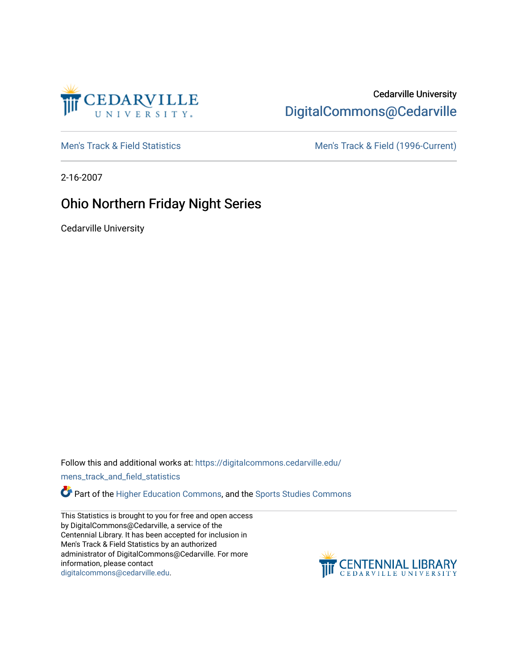

## Cedarville University [DigitalCommons@Cedarville](https://digitalcommons.cedarville.edu/)

[Men's Track & Field Statistics](https://digitalcommons.cedarville.edu/mens_track_and_field_statistics) [Men's Track & Field \(1996-Current\)](https://digitalcommons.cedarville.edu/mens_track_and_field) 

2-16-2007

# Ohio Northern Friday Night Series

Cedarville University

Follow this and additional works at: [https://digitalcommons.cedarville.edu/](https://digitalcommons.cedarville.edu/mens_track_and_field_statistics?utm_source=digitalcommons.cedarville.edu%2Fmens_track_and_field_statistics%2F166&utm_medium=PDF&utm_campaign=PDFCoverPages)

[mens\\_track\\_and\\_field\\_statistics](https://digitalcommons.cedarville.edu/mens_track_and_field_statistics?utm_source=digitalcommons.cedarville.edu%2Fmens_track_and_field_statistics%2F166&utm_medium=PDF&utm_campaign=PDFCoverPages)

Part of the [Higher Education Commons,](http://network.bepress.com/hgg/discipline/1245?utm_source=digitalcommons.cedarville.edu%2Fmens_track_and_field_statistics%2F166&utm_medium=PDF&utm_campaign=PDFCoverPages) and the Sports Studies Commons

This Statistics is brought to you for free and open access by DigitalCommons@Cedarville, a service of the Centennial Library. It has been accepted for inclusion in Men's Track & Field Statistics by an authorized administrator of DigitalCommons@Cedarville. For more information, please contact [digitalcommons@cedarville.edu](mailto:digitalcommons@cedarville.edu).

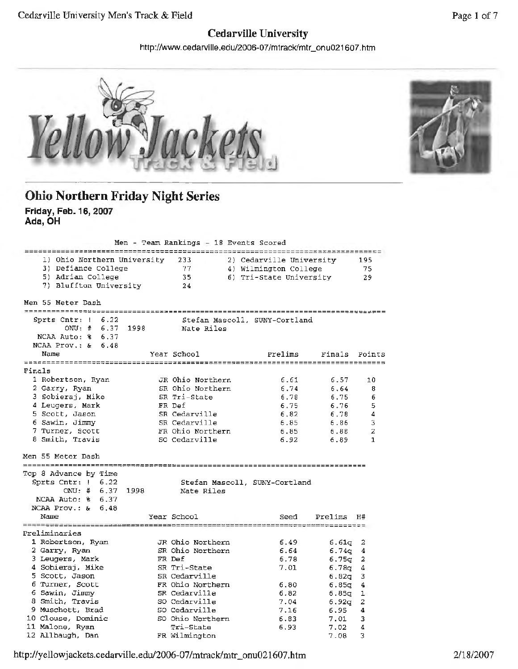### **Cedarville University**

http://www.cedarville.edu/2006-07/mtrack/mtr\_onu021607.htm



#### **Ohio Northern Friday Night Series Friday, Feb. 16, 2007 Ada, OH**

| 5) Adrian College                                                                                                                                                                                                                 |                       | 233<br>-77<br>35<br>24                                                    |                                                                                                                                                                                                                                      |                                                                                                                                                                      |                                                              | 195<br>75<br>29                                                                                                                                                                                                                  |
|-----------------------------------------------------------------------------------------------------------------------------------------------------------------------------------------------------------------------------------|-----------------------|---------------------------------------------------------------------------|--------------------------------------------------------------------------------------------------------------------------------------------------------------------------------------------------------------------------------------|----------------------------------------------------------------------------------------------------------------------------------------------------------------------|--------------------------------------------------------------|----------------------------------------------------------------------------------------------------------------------------------------------------------------------------------------------------------------------------------|
| Men 55 Meter Dash                                                                                                                                                                                                                 |                       |                                                                           |                                                                                                                                                                                                                                      |                                                                                                                                                                      |                                                              |                                                                                                                                                                                                                                  |
| Sprts $Cntr: 1 6.22$<br>NCAA Auto: % 6.37                                                                                                                                                                                         |                       |                                                                           |                                                                                                                                                                                                                                      |                                                                                                                                                                      |                                                              |                                                                                                                                                                                                                                  |
| Name                                                                                                                                                                                                                              |                       |                                                                           |                                                                                                                                                                                                                                      | Prelims                                                                                                                                                              |                                                              | Points                                                                                                                                                                                                                           |
| Finals                                                                                                                                                                                                                            |                       |                                                                           |                                                                                                                                                                                                                                      |                                                                                                                                                                      |                                                              |                                                                                                                                                                                                                                  |
| 1 Robertson, Ryan<br>2 Garry, Ryan<br>3 Sobieraj, Mike<br>4 Leugers, Mark<br>5 Scott, Jason<br>6 Sawin, Jimmy<br>7 Turner, Scott<br>8 Smith, Travis                                                                               |                       |                                                                           |                                                                                                                                                                                                                                      | 6.61<br>6.74<br>6.78<br>6.75<br>6.82<br>6.85<br>6.85<br>6.92                                                                                                         | 6.57<br>6.64<br>6.75<br>6.76<br>6.78<br>6.86<br>6.88<br>6.89 | 10<br>8<br>6<br>5<br>4<br>3<br>2<br>1                                                                                                                                                                                            |
| Men 55 Meter Dash<br>Top 8 Advance by Time<br>Sprts Cntr: $1 \quad 6.22$<br>ONU: # 6.37                                                                                                                                           |                       |                                                                           |                                                                                                                                                                                                                                      |                                                                                                                                                                      |                                                              |                                                                                                                                                                                                                                  |
| NCAA Auto: % 6.37<br>NCAA Prov.: $\& 6.48$<br>Name                                                                                                                                                                                |                       |                                                                           |                                                                                                                                                                                                                                      | Seed                                                                                                                                                                 | Prelims                                                      | H#                                                                                                                                                                                                                               |
| Preliminaries<br>1 Robertson, Ryan<br>2 Garry, Ryan<br>3 Leugers, Mark<br>4 Sobieraj, Mike<br>5 Scott, Jason<br>6 Turner, Scott<br>6 Sawin, Jimmy<br>8 Smith, Travis<br>9 Muschott, Brad<br>10 Clouse, Dominic<br>11 Malone, Ryan |                       | Tri-State                                                                 |                                                                                                                                                                                                                                      | 6.49<br>6.64<br>6.78<br>7.01<br>6.80<br>6.82<br>7.04<br>7.16<br>6.83<br>6,93                                                                                         | 6,95<br>7.01<br>7.02                                         | 2<br>4<br>2<br>4<br>3<br>4<br>1<br>2<br>4<br>3<br>4                                                                                                                                                                              |
|                                                                                                                                                                                                                                   | NCAA Prov.: $\& 6.48$ | 3) Defiance College<br>7) Bluffton University<br>ONU: # 6.37 1998<br>1998 | 1) Ohio Northern University<br>Year School<br>SR Tri-State<br>FR Def<br>SR Cedarville<br>SR Cedarville<br>SO Cedarville<br>Year School<br>FR Def<br>SR Tri-State<br>SR Cedarville<br>SR Cedarville<br>SO Cedarville<br>SO Cedarville | Nate Riles<br>JR Ohio Northern<br>SR Ohio Northern<br>FR Ohio Northern<br>Nate Riles<br>JR Ohio Northern<br>SR Ohio Northern<br>FR Ohio Northern<br>SO Ohio Northern | Men - Team Rankings - 18 Events Scored                       | 2) Cedarville University<br>4) Wilmington College<br>6) Tri-State University<br>Stefan Mascoll, SUNY-Cortland<br>Finals<br>Stefan Mascoll, SUNY-Cortland<br>6.61q<br>6.74q<br>6.75q<br>6.78q<br>6.82q<br>6.85g<br>6.85σ<br>6.92g |

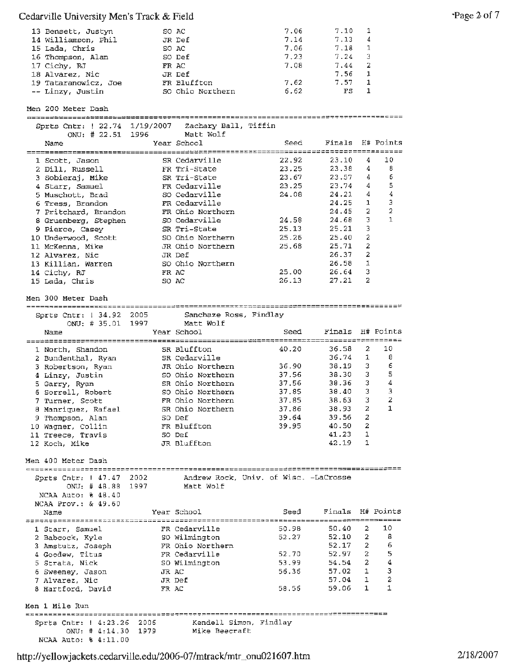| 13 Bensett, Justyn   | SO AC            | 7.06 | 7.10 |                |
|----------------------|------------------|------|------|----------------|
| 14 Williamson, Phil  | JR Def           | 7.14 | 7.13 | $\overline{4}$ |
| 15 Lada, Chris       | SO AC            | 7.06 | 7.18 | 1              |
| 16 Thompson, Alan    | SO Def           | 7.23 | 7.24 | -3             |
| 17 Cichy, RJ         | FR AC            | 7.08 | 7.44 | -2             |
| 18 Alvarez, Nic      | JR Def           |      | 7.56 | $\mathbf{1}$   |
| 19 Tataranowicz, Joe | FR Bluffton      | 7.62 | 7.57 | 1              |
| -- Linzy, Justin     | SO Ohio Northern | 6.62 | FS   |                |

Men 200 Meter Dash Sprts Cntr: 22.74 1/19/2007 Zachary Ball, Tiffin ONU; # 22.51 1996 Matt Wolf Year School Seed Finals H# Points Name -----------------====~~------------------==========--=-----------:============----- 1 Scott, Jason Cedarville 22.92 23.10 4 10 SR 2 Dill, Russell Tri-State 23.25 23.38 4 8 FR 23.25 23.38 4 6<br>23.67 23.57 4 6 Tri-State 23.67 3 Sobieraj, **Mike**  SR 4 Starr, Samuel Cedarville 23.25 23.74 4 5 **FR**  so Cedarville 24.08 24.21 4 4 5 Muschott, Brad 6 Tress, Brandon Cedarville 24.25 1 3 FR 7 Pritchard, Brandon Ohio Northern 24.45 2 2 FR so Cedarville 24.58 24.68 3 1 8 Gruenberg, Stephen 9 Pierce, Casey Tri-State 25 .13 25.21 3 SR so 10 Underwood, Scott Ohio Northern 25.26 25.40 2 JR Ohio Northern 25.68 25.71 2 11 McKenna, Mike 12 Alvarez, Nie JR 26.37 2 Def 13 Killian, Warren so 26.58 1 Ohio Northern 14 Cichy, RJ AC 25.00 26.64 3 FR so 27.21 2 15 Lada, Chris AC 26.13 **Men** 300 Meter Dash

Sanchaze Ross, Findlay 2005 ONU: # 35.01 Matt Wolf 1997 Year School **Seed** Seed Finals H# Points Name ------------------=============::;;-------~=;====~=============--=======:=========- 1 North, Shandon SR Bluffton 40.20 36.58 2 10 2 Bundenthal, Ryan SR Cedarville 36.74 1 8 3 Robertson, Ryan JR Ohio Northern 36.90 38.19 3 <sup>6</sup> 4 Linzy, Justin so Ohio Northern 37.56 38.30 3 5 5 Garry, Ryan SR Ohio Northern 37.56 38.36 3 <sup>4</sup> <sup>6</sup>Sorrell, Robert so Ohio Northern 37.85 38.40 3 <sup>3</sup> 7 Turner, Scott **FR** Ohio Northern 37.85 38.63 3 2 <sup>8</sup>Manriquez, Rafael SR Ohio Northern 37.86 38.93 2 1 <sup>9</sup>Thompson, Alan so Def 39.64 39.56 2 10 Wagner, Collin FR Bluffton 39.95 40.50 <sup>2</sup> 11 Treece, Travis so Def 41.23 1 12 Koch, Mike JR Bluffton 42.19 1

Men 400 Meter Dash

NCAA Auto: % 4:11.00

Sprts Cntr: 1 34.92 2005

Sprts Cntr: 1 47.47 2002 Andrew Rock, Univ. of Wisc. -LaCrosse ONU: # 48.88 1997 Matt Wolf NCAA Auto: % 48.40 NCAA Prov.: & 49.60 Name Year School Seed Finals Hlf Points

| 1 Starr, Samuel               | FR Cedarville          | 50.98 | 50.40 | 2            | 10 |
|-------------------------------|------------------------|-------|-------|--------------|----|
| 2 Babcock, Kyle               | SO Wilmington          | 52.27 | 52.10 | -2           | 8  |
| 3 Amstutz, Joseph             | FR Ohio Northern       |       | 52.17 | 2            | 6  |
| 4 Goodew, Titus               | FR Cedarville          | 52.70 | 52.97 | 2            | 5  |
| 5 Strata, Nick                | SO Wilmington          | 53.99 | 54.54 | -2           |    |
| 6 Sweeney, Jason              | JR AC                  | 56.36 | 57.02 |              | 3  |
| 7 Alvarez, Nic                | JR Def                 |       | 57.04 | $\mathbf{1}$ | 2  |
| 8 Hartford, David             | FR AC                  | 58.56 | 59.06 | 1            |    |
| Men 1 Mile Run                |                        |       |       |              |    |
| Sprts $Chtr: 4:23.26$<br>2006 | Kendell Simon, Findlay |       |       |              |    |
| ONU: $\#$ 4:14.30<br>1979     | Mike Beecraft          |       |       |              |    |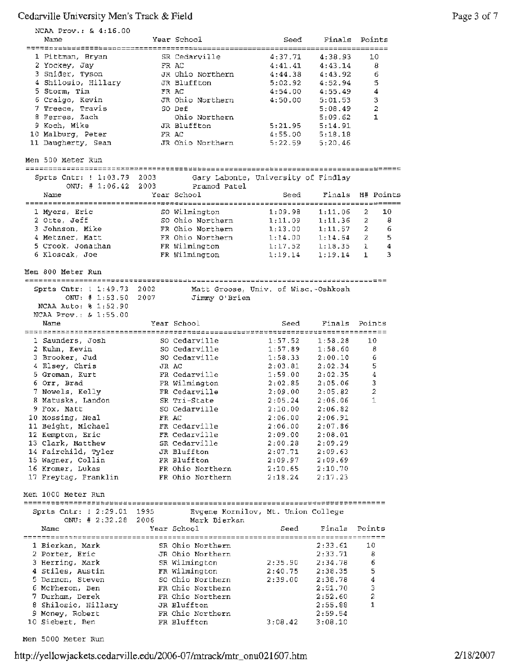| NCAA Prov.: & 4:16.00                    |       |                                      |                            |                     |        |              |
|------------------------------------------|-------|--------------------------------------|----------------------------|---------------------|--------|--------------|
| Name                                     |       | Year School                          | Seed                       | Finals Points       |        |              |
| 1 Pittman, Bryan                         |       | SR Cedarville                        | $=$ $=$ $=$ $=$<br>4:37.71 | ========<br>4:38.93 |        | 10           |
| 2 Yockey, Jay                            |       | FR AC                                | 4:41.41                    | 4:43.14             |        | 8            |
| 3 Snider, Tyson                          |       | JR Ohio Northern                     | 4:44.38                    | 4:43.92             |        | 6            |
| 4 Shilosio, Hillary                      |       | JR Bluffton                          | 5:02.92                    | 4:52.94             |        | 5            |
| 5 Storm, Tim                             |       | FR AC                                | 4:54.00                    | 4:55.49             |        | 4            |
| 6 Craigo, Kevin                          |       | JR Ohio Northern                     | 4:50.00                    | 5:01.53             |        | 3            |
| 7 Treece, Travis                         |       | SO Def                               |                            | 5:08.49             |        | 2            |
| 8 Ferres, Zach                           |       | Ohio Northern                        |                            | 5:09.62             |        | 1            |
| 9 Koch, Mike                             |       | JR Bluffton                          | 5:21.95                    | 5:14.91             |        |              |
| 10 Malburg, Peter<br>11 Daugherty, Sean  |       | FR AC<br>JR Ohio Northern            | 4:55.00<br>5:22.59         | 5:18.18             |        |              |
|                                          |       |                                      |                            | 5:20.46             |        |              |
| Men 500 Meter Run                        |       |                                      |                            |                     |        |              |
| Sprts Cntr: ! 1:03.79 2003               |       | Gary Labonte, University of Findlay  |                            |                     |        |              |
| ONU: $\# 1:06.42$                        | 2003  | Pramod Patel                         |                            |                     |        |              |
| Name                                     |       | Year School                          | Seed                       | Finals              |        | H# Points    |
| 1 Myers, Eric                            |       | SO Wilmington                        | 1:09.98                    | 1:11.06             | 2      | 10           |
| 2 Otte, Jeff                             |       | SO Ohio Northern                     | 1:11.09                    | 1:11.36             | 2      | 8            |
| 3 Johnson, Mike                          |       | FR Ohio Northern                     | 1:13.00                    | 1:11.57             | 2      | 6            |
| 4 Metzner, Matt                          |       | FR Ohio Northern                     | 1:14.00                    | 1:14.64 2           |        | 5            |
| 5 Crook, Jonathan                        |       | FR Wilmington                        | 1:17.52                    | 1:18.35             | 1      | 4            |
| 6 Kloscak, Joe                           |       | FR Wilmington                        | 1:19.14                    | 1:19.14             | 1      | 3            |
|                                          |       |                                      |                            |                     |        |              |
| Men 800 Meter Run                        |       |                                      |                            |                     |        |              |
| Sprts Cntr: 1 1:49.73 2002               |       | Matt Groose, Univ. of Wisc.-Oshkosh  |                            |                     |        |              |
| ONU: # 1:53.50                           | 2007  | Jimmy O'Brien                        |                            |                     |        |              |
| NCAA Auto: % 1:52.90                     |       |                                      |                            |                     |        |              |
| NCAA Prov.: & 1:55.00                    |       |                                      |                            |                     |        |              |
| Name                                     |       | Year School                          | Seed                       | Finals              | Points |              |
|                                          |       |                                      |                            |                     |        |              |
| 1 Saunders, Josh<br>2 Kuhn, Kevin        |       | SO Cedarville<br>SO Cedarville       | 1:57.52<br>1:57.89         | 1:58.28<br>1:58.60  | 10     | 8            |
| 3 Brooker, Jud                           |       | SO Cedarville                        | 1:58.33                    | 2:00.10             |        | 6            |
| 4 Elsey, Chris                           | JR AC |                                      | 2:03.81                    | 2:02.34             |        | 5            |
| 5 Groman, Kurt                           |       | FR Cedarville                        | 1:59.00                    | 2:02.35             |        | 4            |
| 6 Orr, Brad                              |       | FR Wilmington                        | 2:02.85                    | 2:05.06             |        | 3            |
| 7 Nowels, Kelly                          |       | FR Cedarville                        | 2:09.00                    | 2:05.82             |        | 2            |
| 8 Matuska, Landon                        |       | SR Tri-State                         | 2:05.24                    | 2:06.06             |        | 1            |
| 9 Fox, Matt                              |       | SO Cedarville                        | 2:10.00                    | 2:06.82             |        |              |
| 10 Mossing, Neal                         | FR AC |                                      | 2:06.00                    | 2:06.91             |        |              |
| 11 Beight, Michael                       |       | FR Cedarville                        | 2:06.00                    | 2:07.86             |        |              |
| 12 Kempton, Eric                         |       | FR Cedarville                        | 2:09.00                    | 2:08.01             |        |              |
| 13 Clark, Matthew<br>14 Fairchild, Tyler |       | SR Cedarville                        | 2:00.28                    | 2:09.29             |        |              |
| 15 Wagner, Collin                        |       | JR Bluffton<br>FR Bluffton           | 2:07.71<br>2:09.97         | 2:09.63<br>2:09.69  |        |              |
| 16 Kromer, Lukas                         |       | FR Ohio Northern                     | 2:10.65                    | 2:10.70             |        |              |
| 17 Freytag, Franklin                     |       | FR Ohio Northern                     | 2:18.24                    | 2:17.23             |        |              |
|                                          |       |                                      |                            |                     |        |              |
| Men 1000 Meter Run                       |       |                                      |                            |                     |        |              |
| Sprts Cntr: 1 2:29.01 1995               |       | Evgene Kornilov, Mt. Union College   |                            |                     |        |              |
|                                          |       | ONU: # 2:32.28 2006 Mark Bierkan     |                            |                     |        |              |
| Name                                     |       | Year School                          | Seed                       | Finals              | Points |              |
|                                          |       |                                      |                            |                     |        |              |
| 1 Bierkan, Mark<br>2 Porter, Eric        |       | SR Ohio Northern<br>JR Ohio Northern |                            | 2:33.61<br>2:33.71  | 10     | 8            |
| 3 Herring, Mark                          |       | SR Wilmington                        | 2:35.90                    | 2:34.78             |        | 6            |
| 4 Stiles, Austin                         |       | FR Wilmington                        | 2:40.75                    | 2:38.35             | 5      |              |
| 5 Darmon, Steven                         |       | SO Ohio Northern                     | 2:39.00                    | 2:38.78             | 4      |              |
| 6 McPheron, Ben                          |       | FR Ohio Northern                     |                            | 2:51.70             |        | 3            |
|                                          |       |                                      |                            | 2:52.60             | 2      |              |
| 7 Durham, Derek                          |       | FR Ohio Northern                     |                            |                     |        |              |
| 8 Shilosio, Hillary                      |       | JR Bluffton                          |                            | 2:55.88             |        | $\mathbf{1}$ |
| 9 Money, Robert<br>10 Siebert, Ben       |       | FR Ohio Northern<br>FR Bluffton      | 3:08.42                    | 2:59.54<br>3:08.10  |        |              |

Men 5000 Meter Run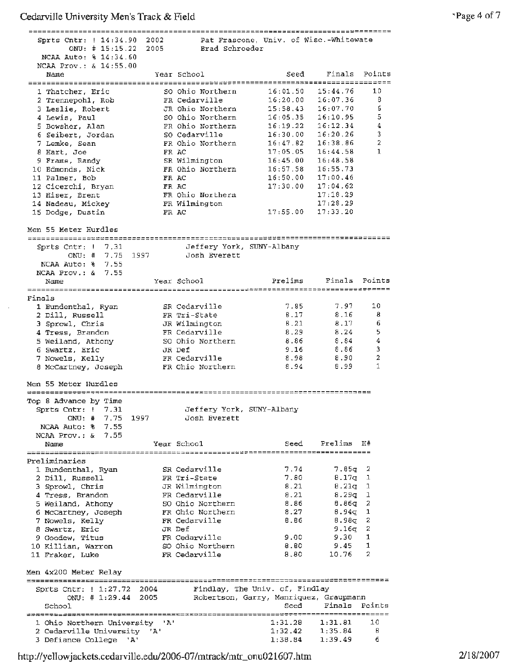| Sprts Cntr: ! 14:34.90 2002                           |      |                                   | Pat Frascone, Univ. of Wisc.-Whitewate |                    |                |
|-------------------------------------------------------|------|-----------------------------------|----------------------------------------|--------------------|----------------|
| ONU: # 15:15.22                                       | 2005 | Brad Schroeder                    |                                        |                    |                |
| NCAA Auto: % 14:34.60                                 |      |                                   |                                        |                    |                |
| NCAA Prov.: & 14:55.00                                |      |                                   |                                        | Finals Points      |                |
| Name                                                  |      | Year School                       | Seed                                   |                    |                |
| 1 Thatcher, Eric                                      |      | SO Ohio Northern                  | 16:01.50                               | 15:44.76           | 10             |
| 2 Trennepohl, Rob                                     |      | FR Cedarville                     | 16;20.00                               | 16:07.36           | 8              |
| 3 Leslie, Robert                                      |      | JR Ohio Northern                  | 15:58.43                               | 16:07.70           | 6              |
| 4 Lewis, Paul                                         |      | SO Ohio Northern                  | 16:05.35                               | 16:10.95           | 5              |
| 5 Bowsher, Alan                                       |      | FR Ohio Northern                  | 16:19.22                               | 16:12.34           | 4              |
| 6 Seibert, Jordan                                     |      | SO Cedarville                     | 16:30.00                               | 16:20.26           | 3              |
| 7 Lemke, Sean                                         |      | FR Ohio Northern                  | 16:47.82                               | 16:38.86           | $\overline{a}$ |
| 8 Hart, Joe                                           |      | FR AC                             | 17:05.05                               | 16:44.58           | 1              |
| 9 Frame, Randy                                        |      | SR Wilmington                     | 16:45.00                               | 16:48.58           |                |
| 10 Edmonds, Nick<br>11 Palmer, Bob                    |      | FR Ohio Northern<br>FR AC         | 16:57.58 16:55.73<br>16:50.00          | 17:00.46           |                |
| 12 Cicerchi, Bryan                                    |      | FR AC                             | 17:30.00                               | 17:04.62           |                |
| 13 Hiser, Brent                                       |      | FR Ohio Northern                  |                                        | 17:18.29           |                |
| 14 Nadeau, Mickey                                     |      | FR Wilmington                     |                                        | 17:28.29           |                |
| 15 Dodge, Dustin                                      |      | FR AC                             | 17:55.00                               | 17:33.20           |                |
|                                                       |      |                                   |                                        |                    |                |
| Men 55 Meter Hurdles                                  |      |                                   |                                        |                    |                |
|                                                       |      |                                   |                                        |                    |                |
| Sprts Cntr: $1 \quad 7.31$                            |      | Jeffery York, SUNY-Albany         |                                        |                    |                |
| ONU: # 7.75 1997                                      |      | Josh Everett                      |                                        |                    |                |
| NCAA Auto: % 7.55                                     |      |                                   |                                        |                    |                |
| NCAA Prov.: & 7.55                                    |      | Year School                       | Prelims                                | Finals             | Points         |
| Name                                                  |      |                                   |                                        |                    |                |
| Finals                                                |      |                                   |                                        |                    |                |
| 1 Bundenthal, Ryan                                    |      | SR Cedaryille                     | 7.85                                   | 7.97               | 10             |
| 2 Dill, Russell                                       |      | FR Tri-State                      | 8.17                                   | 8.16               | 8              |
| 3 Sprowl, Chris                                       |      | JR Wilmington                     | 8.21                                   | 8.17               | 6              |
| 4 Tress, Brandon                                      |      | FR Cedarville                     | 8.29                                   | 8.24               | 5              |
| 5 Weiland, Athony                                     |      | SO Ohio Northern                  | 8.86                                   | 8.84               | 4              |
| 6 Swartz, Eric                                        |      | JR Def                            | 9.16                                   | 8.86               | 3              |
| 7 Nowels, Kelly                                       |      | FR Cedarville                     | 8.98                                   | 8.90               | $\overline{a}$ |
| 8 McCartney, Joseph                                   |      | FR Ohio Northern                  | 8.94                                   | 8.99               | $\mathbf{1}$   |
| Men 55 Meter Hurdles                                  |      |                                   |                                        |                    |                |
| ************************                              |      |                                   |                                        |                    |                |
| Top 8 Advance by Time                                 |      |                                   |                                        |                    |                |
| Sprts Cntr: ! 7.31                                    |      | Jeffery York, SUNY-Albany         |                                        |                    |                |
| ONU: # 7.75 1997                                      |      | Josh Everett                      |                                        |                    |                |
| NCAA Auto: % 7.55                                     |      |                                   |                                        |                    |                |
| NCAA Prov.: $\&$ 7.55                                 |      |                                   |                                        |                    |                |
| Name                                                  |      | Year School                       | Seed                                   | Prelims            | H#             |
| Preliminaries                                         |      |                                   |                                        |                    |                |
| 1 Bundenthal, Ryan                                    |      | SR Cedarville                     | 7.74                                   | 7.85q              | 2              |
| 2 Dill, Russell                                       |      | FR Tri-State                      | 7.80                                   | 8.17q              | ı              |
| 3 Sprowl, Chris                                       |      | JR Wilmington                     | 8.21                                   | $8.21q$ 1          |                |
| 4 Tress, Brandon                                      |      | FR Cedarville                     | 8.21                                   | 8.29q              | 1              |
| 5 Weiland, Athony                                     |      | SO Ohio Northern                  | 8.86                                   | 8.86g              | 2              |
| 6 McCartney, Joseph                                   |      | FR Ohio Northern                  | 8.27                                   | $8.94\sigma$       | 1              |
| 7 Nowels, Kelly                                       |      | FR Cedarville                     | 8.86                                   | 8.98 <sub>7</sub>  | 2              |
| 8 Swartz, Eric                                        |      | JR Def                            |                                        | 9.16q              | 2              |
| 9 Goodew, Titus                                       |      | FR Cedarville                     | 9.00                                   | 9.30               | 1<br>1         |
| 10 Killian, Warren<br>11 Fraker, Luke                 |      | SO Ohio Northern<br>FR Cedarville | 8.80<br>8.80                           | 9.45<br>10.76      | 2              |
|                                                       |      |                                   |                                        |                    |                |
|                                                       |      |                                   |                                        |                    |                |
|                                                       |      |                                   |                                        |                    |                |
| Men 4x200 Meter Relay                                 |      |                                   |                                        |                    |                |
| Sprts Cntr:   1:27.72 2004                            |      |                                   | Findlay, The Univ. of, Findlay         |                    |                |
| ONU: # 1:29.44 2005                                   |      |                                   | Robertson, Garry, Manriquez, Graupmann |                    |                |
| School                                                |      |                                   | Seed                                   | Finals             | Points         |
|                                                       |      |                                   |                                        |                    |                |
| 1 Ohio Northern University 'A'                        |      |                                   | 1:31.28                                | 1:31.81            | 10             |
| 2 Cedarville University 'A'<br>3 Defiance College 'A' |      |                                   | 1:32.42<br>1:38.84                     | 1:35.84<br>1:39.49 | 8<br>6         |

http ://yell owjackets.cedarvi lle.edu/2006-07 /mtrack/mtr\_onu021607 .htm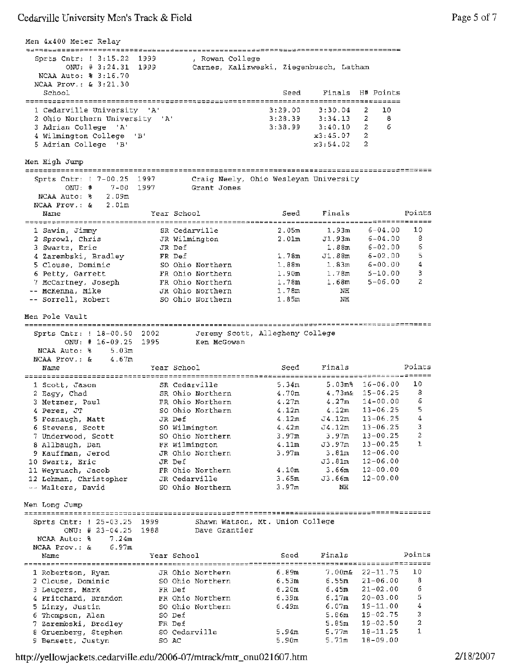Men 4x400 Meter Relay Sprts Cntr: 1 3:15.22 1999 , Rowan College ONU: # 3:24.31 1999 Carnes, Kalizweski, Ziegenbusch, Latham NCAA Auto: % 3:16.70 NCAA Prov.: & 3:21.30<br>School Seed Finals H# Points -~---------------------------~--~---~-----------------------------------------~--- 1 Cedarville University 'A' 3:29.00 3:30.04 2 10 2 Ohio Northern University 'A' 3:28.39 3:34.13 2 8 3:38.99 3:40.10 2 6 <sup>3</sup>Adrian College 'A' 4 Wilmington College 'B' x3:45.07 2 x3:54.02 2 5 Adrian College 'B' Men High Jump Sprts Cntr: 7-00.25 Craig Neely, Ohio Wesleyan University 1997 ONU: # 7-00 1997 Grant Jones NCAA Auto: % 2.09m NCAA Prov.: & 2.0lm Name Year School Seed Finals Points Cedarville 2.05m 1.93m Wilmington 2.0lrn Jl. 93m 6-04.00 10 1 Sawin, Jimmy SR <sup>2</sup>Sprowl, Chris JR 6-04.00 8 3 Swartz, Eric JR 6-02.00 Def 1.88m Def 1. 78m Jl. 88m 6 6-02.00 **4** Zarembski, Bradley **FR**  5 5 Clouse, Dominic SO 6-00.00 Ohio Northern 1.88m 1.83m 4 6 Petty, Garrett FR 5-10.00 Ohio Northern 1.90m 1.78m 3 5-06.00 7 McCartney, Joseph FR Ohio Northern 1.78m 1.68m 2 Ohio Northern 1.78m NH McKenna, Mike JR sorrell, Robert 50 Ohio Northern 1.85m NH Men Pole Vault Sprts Cntr: 18-00.50 2002 Jeremy Scott, Allegheny College ONU: # 16-09.25 1995 Ken McGowan **NCAA** Auto:% 5.03m 4.67m NCAA Prov. : & Name **Year School** Seed Finals Points 1 Scott, Jason SR Cedarville 5.34m 5.03m% 16-06.00 10 2 Eagy, Chad SR Ohio Northern 4.70m 4.73m& 15-06.25 8 3 Metzner, Paul FR Ohio Northern 4.27m 4.27m 14-00.00 6 1 Perez, JT 50 Ohio Northern 4.12m 4.12m 13-06.25 5 5 Fosnaugh, Matt JR Def 4.12m J4.12m 13-06.25 4 6 Stevens, Scott so Wilmington 4. 42m J4.12m 13-06.25 3 7 Underwood, Scott so Ohio Northern 3.97m 3.97m 13-00.25 2 <sup>8</sup>Allbaugh, Dan FR Wilmington 4.llm J3.97m 13-00.25 1 12-06.00 9 Kauffman, Jerod JR Ohio Northern 3.97m 3.81m 10 Swartz, Eric JR Def J3.81rn 12~06 .00 12-00 .00 11 Weyruach, Jacob **FR** Ohio Northern 4.10m 3.66m 12 Lehman, Christopher JR Cedarville 3.65m J3.66m 12-00 .00 Walters, David SO Ohio Northern 3.97m NH Men Long Jump *==================-~~--~--~---------------=~=~~========:=====-----===========-------------* Sprts Cntr: 25-03.25 1999 Shawn Watson, Mt. Union College Dave Grantier ONU: # 23-04.25 19B8 NCAA Auto:  $\frac{1}{6}$  7.24m NCAA Prov.: & 6.97m Name Year School seed Finals Points *===~=======================================;=====;===============================~===---~-* 1 Robertson, Ryan JR Ohio Northern 6.89m 7.00m& 22-11.75 10 2 Clouse, Dominic so Ohio Northern 6. 53m 6.55rn 21-06.00 <sup>B</sup> <sup>3</sup>Leugers, Mark FR Def 6 .20m 6.45m 21-02.00 6 4 Pritchard, Brandon FR Ohio Northern 6.39m 6.17m 20-03.00 5 5 Linzy, Justin so Ohio Northern 6.49m 6.07m 19-11. 00 4 6 Thompson, Alan so Def 5.86m 19-02.75 <sup>3</sup> - Independent of the contract of the contract of the state of the state of the state of the state of the state of the state of the state of the state of the state of the state of the state of the state of the state of the 8 Gruenberg, Stephen so Cedarville 5.94m 5.77m 18-11.25 1 9 Bensett, Justyn so AC 5.90m 5.71m 18-09.00

http://yellowjackets.cedarville.edu/2006-07/mtrack/mtr\_onu021607.htm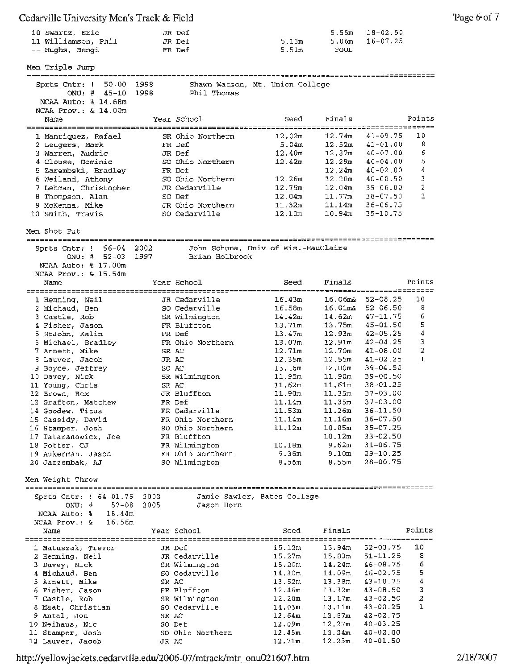| 10 Swartz, Eric<br>11 Williamson, Phil<br>-- Hughs, Bengi                                                                                                                                                                                                                                                                                                                                                                |                | JR Def<br>JR Def<br>FR Def                                                                                                                                                                                                                                                                               | 5.13m<br>5.51m                                                                                                                                                                           | 5.55m<br>5.06m<br>FOUL                                                                                                                                                        | $18 - 02,50$<br>$16 - 07, 25$                                                                                                                                                                                                                                                                                                                     |                                                  |
|--------------------------------------------------------------------------------------------------------------------------------------------------------------------------------------------------------------------------------------------------------------------------------------------------------------------------------------------------------------------------------------------------------------------------|----------------|----------------------------------------------------------------------------------------------------------------------------------------------------------------------------------------------------------------------------------------------------------------------------------------------------------|------------------------------------------------------------------------------------------------------------------------------------------------------------------------------------------|-------------------------------------------------------------------------------------------------------------------------------------------------------------------------------|---------------------------------------------------------------------------------------------------------------------------------------------------------------------------------------------------------------------------------------------------------------------------------------------------------------------------------------------------|--------------------------------------------------|
| Men Triple Jump                                                                                                                                                                                                                                                                                                                                                                                                          |                |                                                                                                                                                                                                                                                                                                          |                                                                                                                                                                                          |                                                                                                                                                                               |                                                                                                                                                                                                                                                                                                                                                   |                                                  |
| $50 - 00$ 1998<br>Sprts Cntr: !<br>ONU: $\frac{1}{2}$ 45-10<br>NCAA Auto: % 14.68m<br>NCAA Prov.: & 14.00m                                                                                                                                                                                                                                                                                                               | 1998           | Shawn Watson, Mt. Union College<br>Phil Thomas                                                                                                                                                                                                                                                           |                                                                                                                                                                                          |                                                                                                                                                                               |                                                                                                                                                                                                                                                                                                                                                   |                                                  |
| Name                                                                                                                                                                                                                                                                                                                                                                                                                     |                | Year School                                                                                                                                                                                                                                                                                              | Seed<br>=======                                                                                                                                                                          | Finals                                                                                                                                                                        | ================================                                                                                                                                                                                                                                                                                                                  | Points                                           |
| 1 Manriquez, Rafael<br>2 Leugers, Mark<br>3 Warren, Audric<br>4 Clouse, Dominic<br>5 Zarembski, Bradley<br>6 Weiland, Athony<br>7 Lehman, Christopher<br>8 Thompson, Alan<br>9 McKenna, Mike<br>10 Smith, Travis                                                                                                                                                                                                         |                | SR Ohio Northern<br>FR Def<br>JR Def<br>SO Ohio Northern<br>FR Def<br>SO Ohio Northern<br>JR Cedarville<br>SO Def<br>JR Ohio Northern<br>SO Cedarville                                                                                                                                                   | 12.02m<br>5.04m<br>12.40m<br>12.42m<br>12.26m<br>12.75m<br>12.04m<br>11.32m<br>12,10m                                                                                                    | 12.74m<br>12.52m<br>12.37m<br>12.29m<br>12.24m<br>12.20m<br>12.04m<br>11.77m<br>11.14m<br>10.94m                                                                              | 41-09.75<br>$41 - 01.00$<br>$40 - 07.00$<br>$40 - 04.00$<br>$40 - 02.00$<br>$40 - 00.50$<br>$39 - 06 - 00$<br>$38 - 07.50$<br>$36 - 06.75$<br>$35 - 10.75$                                                                                                                                                                                        | 10<br>8<br>6<br>5<br>4<br>3<br>2<br>$\mathbf{1}$ |
| Men Shot Put                                                                                                                                                                                                                                                                                                                                                                                                             |                |                                                                                                                                                                                                                                                                                                          |                                                                                                                                                                                          |                                                                                                                                                                               |                                                                                                                                                                                                                                                                                                                                                   |                                                  |
| Sprts Cntr: ! 56-04 2002<br>ONU: $\#$ 52-03<br>NCAA Auto: % 17.00m<br>$NCAA$ $Prov.$ : $\&$ $15.54m$                                                                                                                                                                                                                                                                                                                     | 1997           | John Schuna, Univ of Wis.-EauClaire<br>Brian Holbrook                                                                                                                                                                                                                                                    |                                                                                                                                                                                          |                                                                                                                                                                               |                                                                                                                                                                                                                                                                                                                                                   |                                                  |
| Name                                                                                                                                                                                                                                                                                                                                                                                                                     |                | Year School                                                                                                                                                                                                                                                                                              | Seed                                                                                                                                                                                     | Finals                                                                                                                                                                        |                                                                                                                                                                                                                                                                                                                                                   | Points                                           |
| 1 Henning, Neil<br>2 Michaud, Ben<br>3 Castle, Rob<br>4 Fisher, Jason<br>5 StJohn, Kalin<br>6 Michael, Bradley<br>7 Arnett, Mike<br>8 Lauver, Jacob<br>9 Boyce, Jeffrey<br>10 Davey, Nick<br>11 Young, Chris<br>12 Brown, Rex<br>12 Grafton, Matthew<br>14 Goodew, Titus<br>15 Cassidy, David<br>16 Stamper, Josh<br>17 Tataranowicz, Joe<br>18 Potter, CJ<br>19 Aukerman, Jason<br>20 Jarzembak, AJ<br>Men Weight Throw |                | JR Cedarville<br>SO Cedarville<br>SR Wilmington<br>FR Bluffton<br>FR Def<br>FR Ohio Northern<br>SR AC<br>JR AC<br>SO AC<br>SR Wilmington<br>SR AC<br>JR Bluffton<br>FR Def<br>FR Cedarville<br>FR Ohio Northern<br>SO Ohio Northern<br>FR Bluffton<br>FR Wilmington<br>FR Ohio Northern<br>SO Wilmington | 16.43m<br>16.58m<br>14.42m<br>13,71m<br>13.47m<br>13.07m<br>12.71m<br>12.35m<br>13.16m<br>11.95m<br>11.62m<br>11.90m<br>11.14m<br>11.53m<br>11.14m<br>11.12m<br>10.18m<br>9.36m<br>8.56m | 14.62m<br>13.75m<br>12.93m<br>12.91m<br>12.70m<br>12.55m<br>12.00m<br>11,90m<br>11,61m<br>11.35m<br>11.35m<br>11.26m<br>11.16m<br>10.85m<br>10.12m<br>9.62m<br>9.10m<br>8.55m | $16.06$ ma $52-08.25$<br>$16.01 \text{ma}$ $52-06.50$<br>$47 - 11.75$<br>$45 - 01.50$<br>$42 - 05.25$<br>$42 - 04.25$<br>$41 - 08.00$<br>$41 - 02.25$<br>$39 - 04.50$<br>$39 - 00.50$<br>38-01.25<br>$37 - 03.00$<br>$37 - 03.00$<br>$36 - 11.50$<br>$36 - 07.50$<br>$35 - 07.25$<br>$33 - 02.50$<br>$31 - 06.75$<br>$29 - 10.25$<br>$28 - 00.75$ | 10<br>8<br>6<br>5<br>4<br>з<br>2<br>$\mathbf{1}$ |
| Sprts Cntr: ! 64-01.75 2002<br>$ONU:$ #<br>$57 - 08$<br>18.44m<br>NCAA Auto: %<br>16.56m<br>NCAA Prov.: &                                                                                                                                                                                                                                                                                                                | 2005           | Jason Horn                                                                                                                                                                                                                                                                                               | Jamie Sawler, Bates College                                                                                                                                                              |                                                                                                                                                                               |                                                                                                                                                                                                                                                                                                                                                   |                                                  |
| Name                                                                                                                                                                                                                                                                                                                                                                                                                     |                | Year School                                                                                                                                                                                                                                                                                              | Seed                                                                                                                                                                                     | Finals                                                                                                                                                                        |                                                                                                                                                                                                                                                                                                                                                   | Points                                           |
| 1 Matuszak, Trevor<br>2 Henning, Neil<br>3 Davey, Nick<br>4 Michaud, Ben<br>5 Arnett, Mike<br>6 Fisher, Jason<br>7 Castle, Rob<br>8 Maat, Christian<br>9 Antal, Jon<br>10 Neihaus, Nic<br>11 Stamper, Josh                                                                                                                                                                                                               | SR AC<br>SR AC | JR Def<br>JR Cedarville<br>SR Wilmington<br>SO Cedarville<br>FR Bluffton<br>SR Wilmington<br>SO Cedarville<br>SO Def<br>SO Ohio Northern                                                                                                                                                                 | 15.12m<br>15.27m<br>15.20m<br>14,30m<br>13.52m<br>12.46m<br>12.20m<br>14.03m<br>12.64m<br>12.09m<br>12.45m                                                                               | 15.94m<br>15.83m<br>14.24m<br>14.09m<br>13.38m<br>13.32m<br>13.17m<br>13.11m<br>12.87m<br>12.27m<br>12,24m                                                                    | 52-03.75<br>$51 - 11,25$<br>46-08.75<br>$46 - 02.75$<br>$43 - 10.75$<br>$43 - 08.50$<br>$43 - 02.50$<br>$43 - 00.25$<br>$42 - 02.75$<br>$40 - 03.25$<br>$40 - 02.00$                                                                                                                                                                              | 10<br>8<br>6<br>5<br>4<br>з<br>2<br>1            |
| 12 Lauver, Jacob                                                                                                                                                                                                                                                                                                                                                                                                         | JR AC          |                                                                                                                                                                                                                                                                                                          | 12.71m                                                                                                                                                                                   | 12.23m                                                                                                                                                                        | $40 - 01.50$                                                                                                                                                                                                                                                                                                                                      |                                                  |

http://yellowjackets.cedarville.edu/2006-07/mtrack/mtr\_onu021607.htm

Cedarville University Men's Track & Field